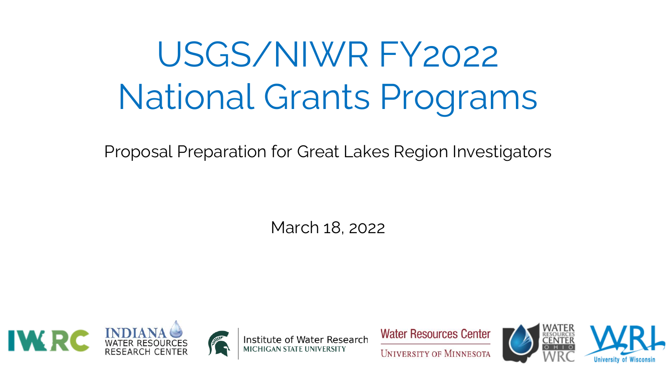# USGS/NIWR FY2022 National Grants Programs

Proposal Preparation for Great Lakes Region Investigators

March 18, 2022









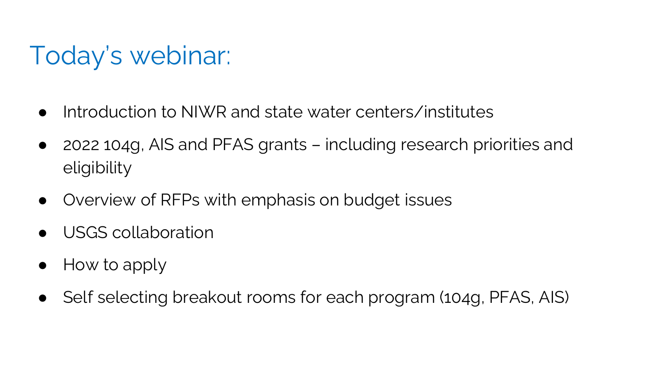## Today's webinar:

- Introduction to NIWR and state water centers/institutes
- 2022 104g, AIS and PFAS grants including research priorities and eligibility
- Overview of RFPs with emphasis on budget issues
- USGS collaboration
- How to apply
- Self selecting breakout rooms for each program (104g, PFAS, AIS)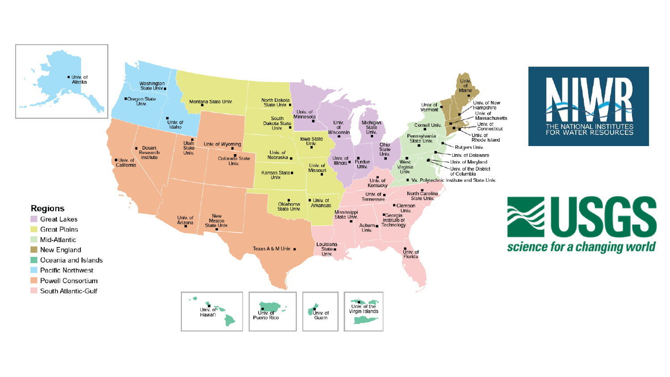

**Regions** 

×

Great Lakes

**Great Plains** 

Mid-Atlantic





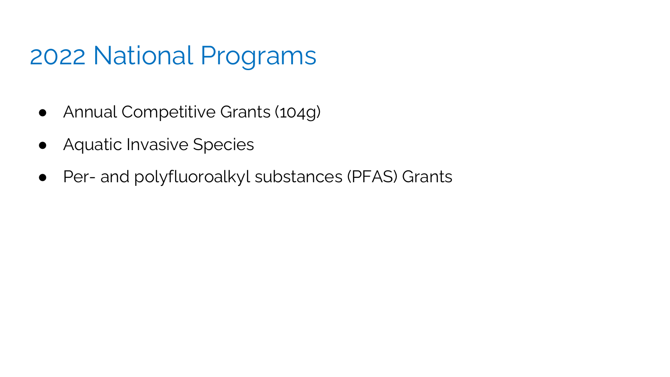#### 2022 National Programs

- Annual Competitive Grants (104g)
- Aquatic Invasive Species
- Per- and polyfluoroalkyl substances (PFAS) Grants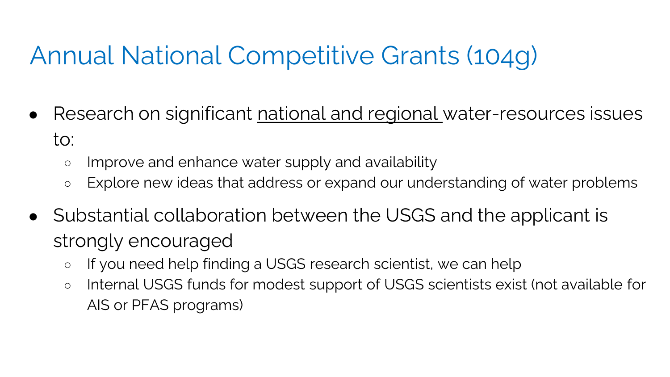## Annual National Competitive Grants (104g)

- Research on significant national and regional water-resources issues to:
	- o Improve and enhance water supply and availability
	- Explore new ideas that address or expand our understanding of water problems
- Substantial collaboration between the USGS and the applicant is strongly encouraged
	- If you need help finding a USGS research scientist, we can help
	- Internal USGS funds for modest support of USGS scientists exist (not available for AIS or PFAS programs)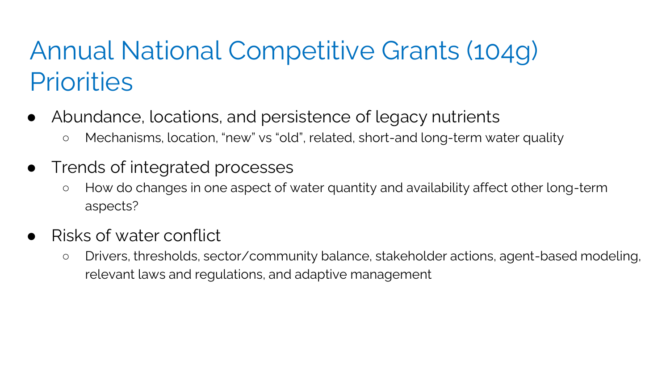## Annual National Competitive Grants (104g) **Priorities**

- Abundance, locations, and persistence of legacy nutrients
	- Mechanisms, location, "new" vs "old", related, short-and long-term water quality
- Trends of integrated processes
	- How do changes in one aspect of water quantity and availability affect other long-term aspects?
- Risks of water conflict
	- Drivers, thresholds, sector/community balance, stakeholder actions, agent-based modeling, relevant laws and regulations, and adaptive management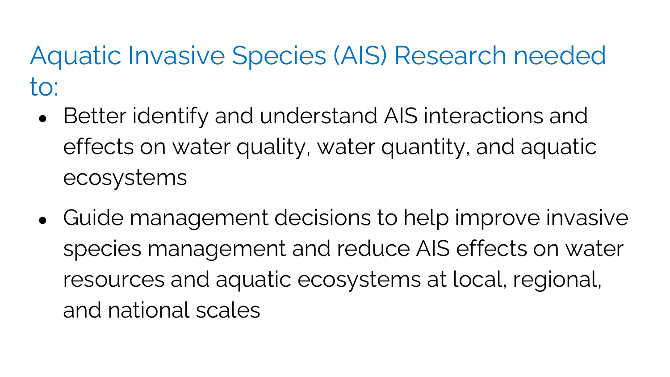Aquatic Invasive Species (AIS) Research needed to:

- Better identify and understand AIS interactions and effects on water quality, water quantity, and aquatic ecosystems
- Guide management decisions to help improve invasive species management and reduce AIS effects on water resources and aquatic ecosystems at local, regional, and national scales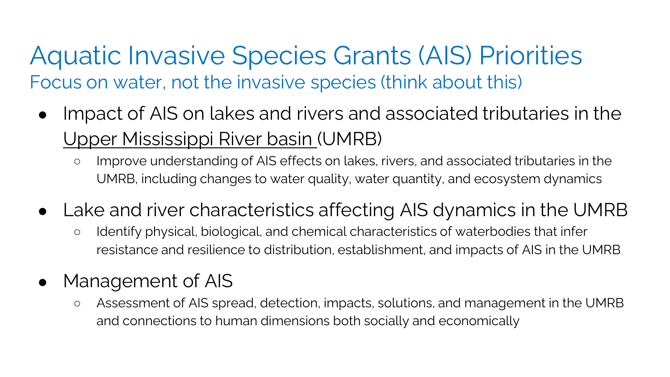#### Aquatic Invasive Species Grants (AIS) Priorities Focus on water, not the invasive species (think about this)

- Impact of AIS on lakes and rivers and associated tributaries in the Upper Mississippi River basin (UMRB)
	- Improve understanding of AIS effects on lakes, rivers, and associated tributaries in the UMRB, including changes to water quality, water quantity, and ecosystem dynamics
- Lake and river characteristics affecting AIS dynamics in the UMRB
	- Identify physical, biological, and chemical characteristics of waterbodies that infer resistance and resilience to distribution, establishment, and impacts of AIS in the UMRB

#### • Management of AIS

○ Assessment of AIS spread, detection, impacts, solutions, and management in the UMRB and connections to human dimensions both socially and economically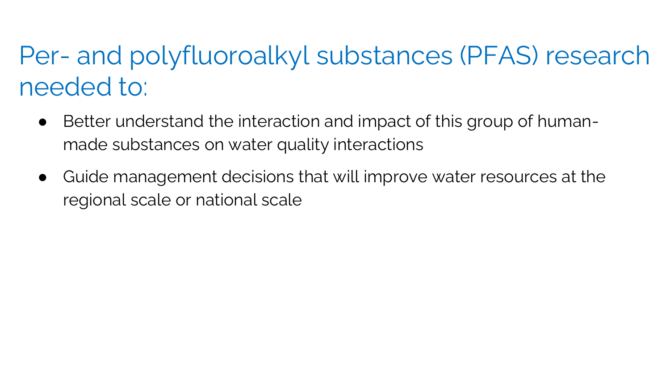## Per- and polyfluoroalkyl substances (PFAS) research needed to:

- Better understand the interaction and impact of this group of humanmade substances on water quality interactions
- Guide management decisions that will improve water resources at the regional scale or national scale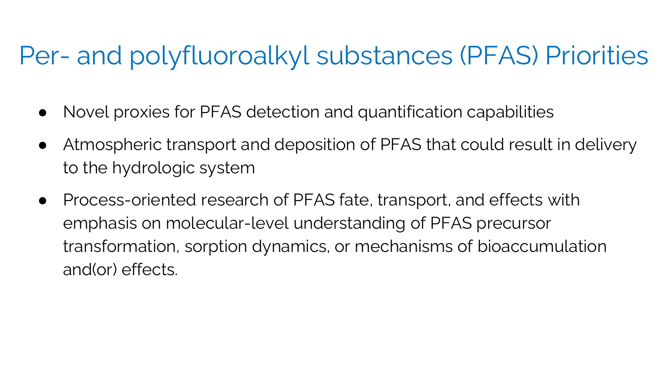#### Per- and polyfluoroalkyl substances (PFAS) Priorities

- Novel proxies for PFAS detection and quantification capabilities
- Atmospheric transport and deposition of PFAS that could result in delivery to the hydrologic system
- Process-oriented research of PFAS fate, transport, and effects with emphasis on molecular-level understanding of PFAS precursor transformation, sorption dynamics, or mechanisms of bioaccumulation and(or) effects.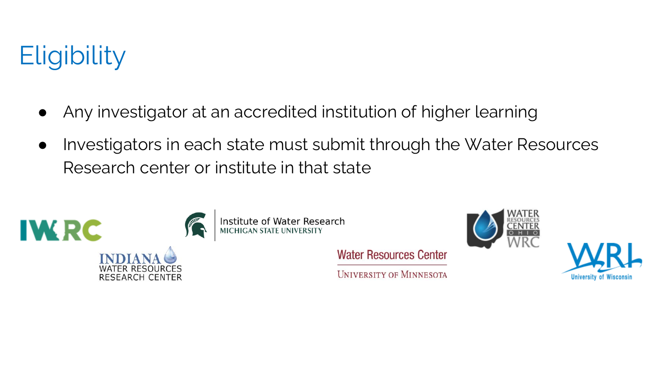## **Eligibility**

- Any investigator at an accredited institution of higher learning
- Investigators in each state must submit through the Water Resources Research center or institute in that state

**Water Resources Center** 

**UNIVERSITY OF MINNESOTA** 



Institute of Water Research



Universit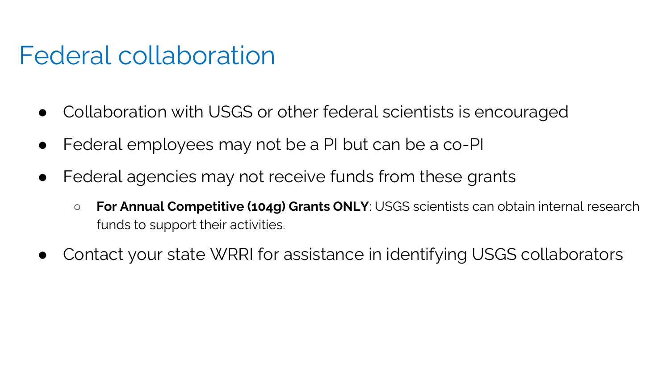#### Federal collaboration

- Collaboration with USGS or other federal scientists is encouraged
- Federal employees may not be a PI but can be a co-PI
- Federal agencies may not receive funds from these grants
	- **For Annual Competitive (104g) Grants ONLY**: USGS scientists can obtain internal research funds to support their activities.
- Contact your state WRRI for assistance in identifying USGS collaborators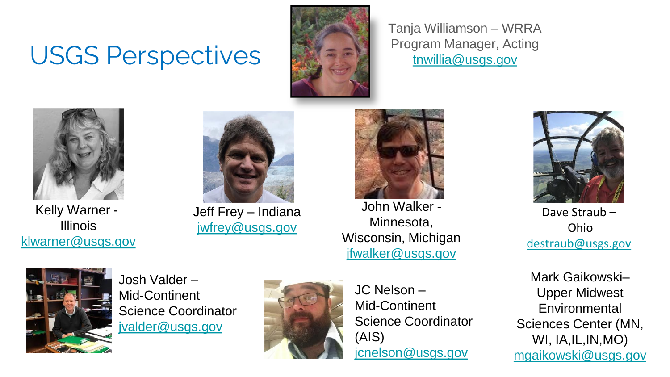## USGS Perspectives



Tanja Williamson – WRRA Program Manager, Acting [tnwillia@usgs.gov](mailto:tnwillia@usgs.gov)



Kelly Warner - Illinois [klwarner@usgs.gov](mailto:klwarner@usgs.gov)



Jeff Frey – Indiana [jwfrey@usgs.gov](mailto:jwfrey@usgs.gov)

John Walker -

Minnesota, Wisconsin, Michigan [jfwalker@usgs.gov](mailto:jfwalker@usgs.gov)

Dave Straub – Ohio [destraub@usgs.gov](mailto:destraub@usgs.gov)





Josh Valder – Mid-Continent Science Coordinator [jvalder@usgs.gov](mailto:jvalder@usgs.gov)



JC Nelson – Mid-Continent Science Coordinator (AIS) [jcnelson@usgs.gov](mailto:jcnelson@usgs.gov)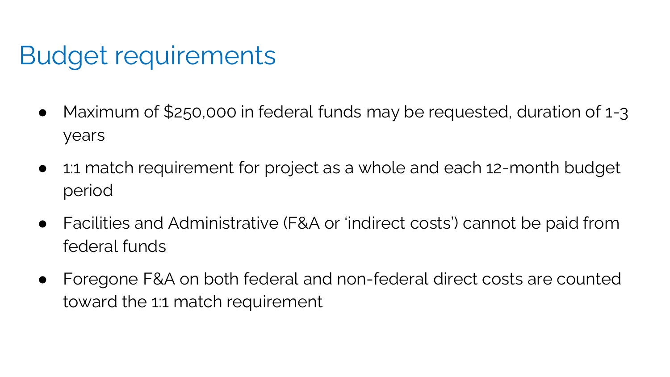## Budget requirements

- Maximum of \$250,000 in federal funds may be requested, duration of 1-3 years
- 1:1 match requirement for project as a whole and each 12-month budget period
- Facilities and Administrative (F&A or 'indirect costs') cannot be paid from federal funds
- Foregone F&A on both federal and non-federal direct costs are counted toward the 1:1 match requirement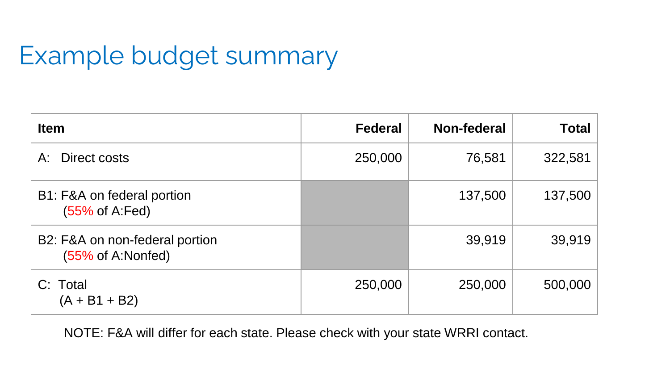## Example budget summary

| <b>Item</b>                                                    | <b>Federal</b> | Non-federal | <b>Total</b> |
|----------------------------------------------------------------|----------------|-------------|--------------|
| Direct costs<br>A:                                             | 250,000        | 76,581      | 322,581      |
| B1: F&A on federal portion<br>(55% of A:Fed)                   |                | 137,500     | 137,500      |
| B2: F&A on non-federal portion<br>$(55\% \text{ of A:Nonfed})$ |                | 39,919      | 39,919       |
| C: Total<br>$(A + B1 + B2)$                                    | 250,000        | 250,000     | 500,000      |

NOTE: F&A will differ for each state. Please check with your state WRRI contact.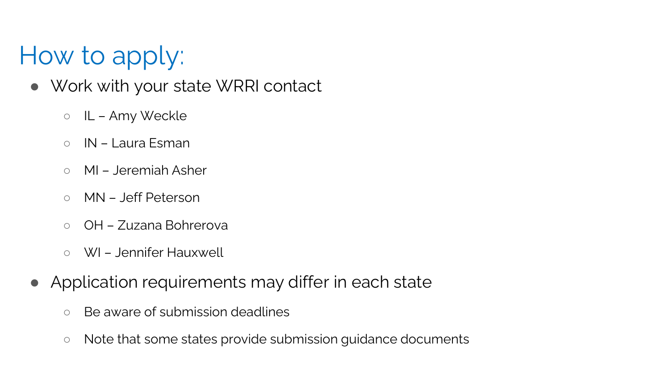## How to apply:

- Work with your state WRRI contact
	- IL Amy Weckle
	- IN Laura Esman
	- MI Jeremiah Asher
	- MN Jeff Peterson
	- OH Zuzana Bohrerova
	- WI Jennifer Hauxwell
- Application requirements may differ in each state
	- Be aware of submission deadlines
	- Note that some states provide submission guidance documents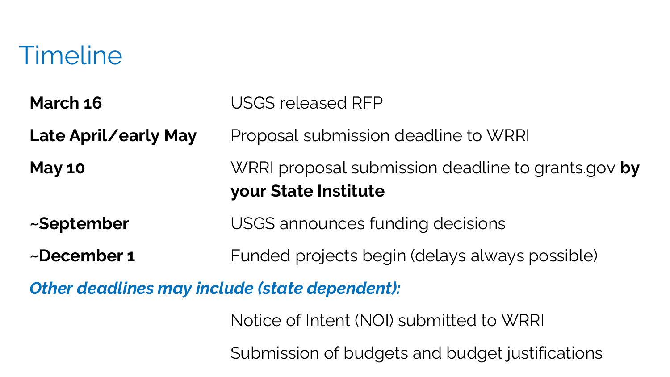#### **Timeline**

**March 16** USGS released RFP **Late April/early May** Proposal submission deadline to WRRI **May 10** WRRI proposal submission deadline to grants.gov **by your State Institute ~September** USGS announces funding decisions **~December 1** Funded projects begin (delays always possible)

*Other deadlines may include (state dependent):*

Notice of Intent (NOI) submitted to WRRI

Submission of budgets and budget justifications